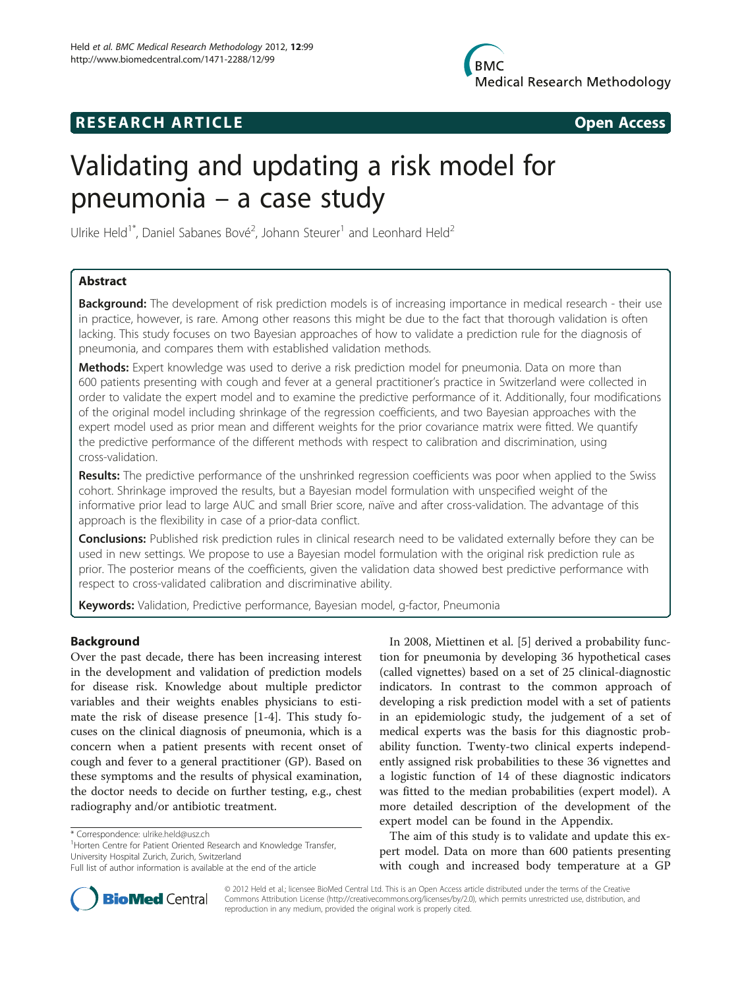# **RESEARCH ARTICLE Example 2014 CONSIDERING CONSIDERING CONSIDERING CONSIDERING CONSIDERING CONSIDERING CONSIDERING CONSIDERING CONSIDERING CONSIDERING CONSIDERING CONSIDERING CONSIDERING CONSIDERING CONSIDERING CONSIDE**

# Validating and updating a risk model for pneumonia – a case study

Ulrike Held<sup>1\*</sup>, Daniel Sabanes Bové<sup>2</sup>, Johann Steurer<sup>1</sup> and Leonhard Held<sup>2</sup>

# Abstract

Background: The development of risk prediction models is of increasing importance in medical research - their use in practice, however, is rare. Among other reasons this might be due to the fact that thorough validation is often lacking. This study focuses on two Bayesian approaches of how to validate a prediction rule for the diagnosis of pneumonia, and compares them with established validation methods.

Methods: Expert knowledge was used to derive a risk prediction model for pneumonia. Data on more than 600 patients presenting with cough and fever at a general practitioner's practice in Switzerland were collected in order to validate the expert model and to examine the predictive performance of it. Additionally, four modifications of the original model including shrinkage of the regression coefficients, and two Bayesian approaches with the expert model used as prior mean and different weights for the prior covariance matrix were fitted. We quantify the predictive performance of the different methods with respect to calibration and discrimination, using cross-validation.

Results: The predictive performance of the unshrinked regression coefficients was poor when applied to the Swiss cohort. Shrinkage improved the results, but a Bayesian model formulation with unspecified weight of the informative prior lead to large AUC and small Brier score, naïve and after cross-validation. The advantage of this approach is the flexibility in case of a prior-data conflict.

Conclusions: Published risk prediction rules in clinical research need to be validated externally before they can be used in new settings. We propose to use a Bayesian model formulation with the original risk prediction rule as prior. The posterior means of the coefficients, given the validation data showed best predictive performance with respect to cross-validated calibration and discriminative ability.

Keywords: Validation, Predictive performance, Bayesian model, q-factor, Pneumonia

# Background

Over the past decade, there has been increasing interest in the development and validation of prediction models for disease risk. Knowledge about multiple predictor variables and their weights enables physicians to estimate the risk of disease presence [[1-4](#page-7-0)]. This study focuses on the clinical diagnosis of pneumonia, which is a concern when a patient presents with recent onset of cough and fever to a general practitioner (GP). Based on these symptoms and the results of physical examination, the doctor needs to decide on further testing, e.g., chest radiography and/or antibiotic treatment.

\* Correspondence: [ulrike.held@usz.ch](mailto:ulrike.held@usz.ch) <sup>1</sup>

<sup>1</sup> Horten Centre for Patient Oriented Research and Knowledge Transfer, University Hospital Zurich, Zurich, Switzerland

In 2008, Miettinen et al. [[5](#page-7-0)] derived a probability function for pneumonia by developing 36 hypothetical cases (called vignettes) based on a set of 25 clinical-diagnostic indicators. In contrast to the common approach of developing a risk prediction model with a set of patients in an epidemiologic study, the judgement of a set of medical experts was the basis for this diagnostic probability function. Twenty-two clinical experts independently assigned risk probabilities to these 36 vignettes and a logistic function of 14 of these diagnostic indicators was fitted to the median probabilities (expert model). A more detailed description of the development of the expert model can be found in the Appendix.

The aim of this study is to validate and update this expert model. Data on more than 600 patients presenting with cough and increased body temperature at a GP



© 2012 Held et al.; licensee BioMed Central Ltd. This is an Open Access article distributed under the terms of the Creative Commons Attribution License [\(http://creativecommons.org/licenses/by/2.0\)](http://creativecommons.org/licenses/by/2.0), which permits unrestricted use, distribution, and reproduction in any medium, provided the original work is properly cited.

Full list of author information is available at the end of the article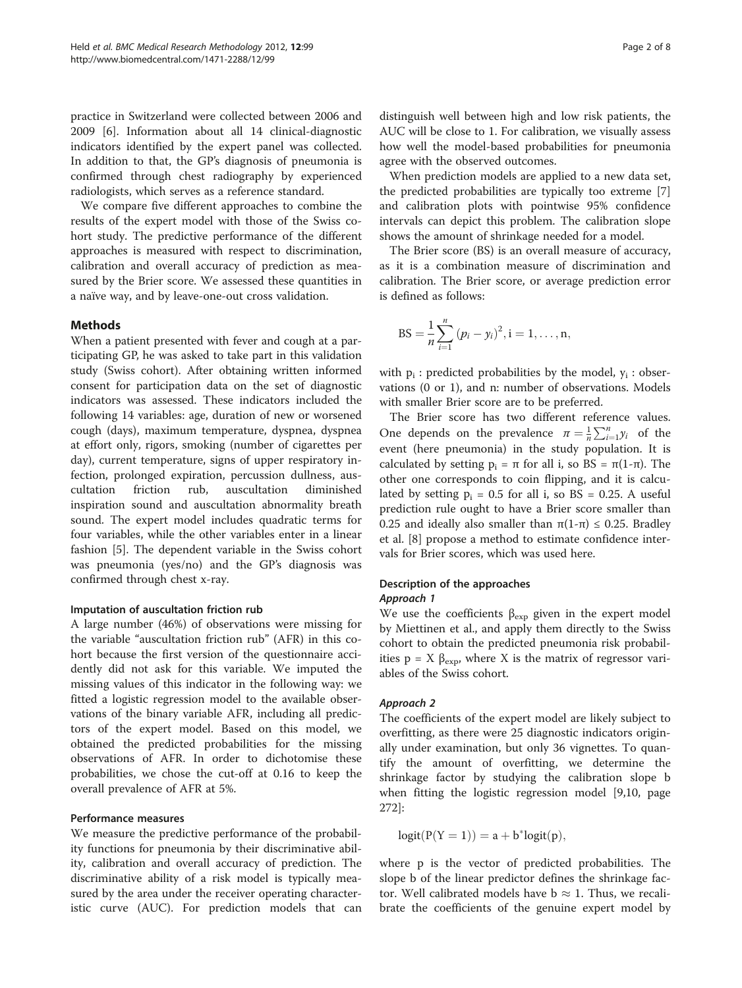practice in Switzerland were collected between 2006 and 2009 [\[6](#page-7-0)]. Information about all 14 clinical-diagnostic indicators identified by the expert panel was collected. In addition to that, the GP's diagnosis of pneumonia is confirmed through chest radiography by experienced radiologists, which serves as a reference standard.

We compare five different approaches to combine the results of the expert model with those of the Swiss cohort study. The predictive performance of the different approaches is measured with respect to discrimination, calibration and overall accuracy of prediction as measured by the Brier score. We assessed these quantities in a naïve way, and by leave-one-out cross validation.

# Methods

When a patient presented with fever and cough at a participating GP, he was asked to take part in this validation study (Swiss cohort). After obtaining written informed consent for participation data on the set of diagnostic indicators was assessed. These indicators included the following 14 variables: age, duration of new or worsened cough (days), maximum temperature, dyspnea, dyspnea at effort only, rigors, smoking (number of cigarettes per day), current temperature, signs of upper respiratory infection, prolonged expiration, percussion dullness, auscultation friction rub, auscultation diminished inspiration sound and auscultation abnormality breath sound. The expert model includes quadratic terms for four variables, while the other variables enter in a linear fashion [\[5](#page-7-0)]. The dependent variable in the Swiss cohort was pneumonia (yes/no) and the GP's diagnosis was confirmed through chest x-ray.

## Imputation of auscultation friction rub

A large number (46%) of observations were missing for the variable "auscultation friction rub" (AFR) in this cohort because the first version of the questionnaire accidently did not ask for this variable. We imputed the missing values of this indicator in the following way: we fitted a logistic regression model to the available observations of the binary variable AFR, including all predictors of the expert model. Based on this model, we obtained the predicted probabilities for the missing observations of AFR. In order to dichotomise these probabilities, we chose the cut-off at 0.16 to keep the overall prevalence of AFR at 5%.

#### Performance measures

We measure the predictive performance of the probability functions for pneumonia by their discriminative ability, calibration and overall accuracy of prediction. The discriminative ability of a risk model is typically measured by the area under the receiver operating characteristic curve (AUC). For prediction models that can

distinguish well between high and low risk patients, the AUC will be close to 1. For calibration, we visually assess how well the model-based probabilities for pneumonia agree with the observed outcomes.

When prediction models are applied to a new data set, the predicted probabilities are typically too extreme [\[7](#page-7-0)] and calibration plots with pointwise 95% confidence intervals can depict this problem. The calibration slope shows the amount of shrinkage needed for a model.

The Brier score (BS) is an overall measure of accuracy, as it is a combination measure of discrimination and calibration. The Brier score, or average prediction error is defined as follows:

$$
BS = \frac{1}{n} \sum_{i=1}^{n} (p_i - y_i)^2, i = 1, ..., n,
$$

with  $p_i$ : predicted probabilities by the model,  $y_i$ : observations (0 or 1), and n: number of observations. Models with smaller Brier score are to be preferred.

The Brier score has two different reference values. One depends on the prevalence  $\pi = \frac{1}{n} \sum_{i=1}^{n} y_i$  of the event (here pneumonia) in the study population. It is calculated by setting  $p_i = \pi$  for all i, so BS =  $\pi(1-\pi)$ . The other one corresponds to coin flipping, and it is calculated by setting  $p_i = 0.5$  for all i, so BS = 0.25. A useful prediction rule ought to have a Brier score smaller than 0.25 and ideally also smaller than  $π(1-π) ≤ 0.25$ . Bradley et al. [[8\]](#page-7-0) propose a method to estimate confidence intervals for Brier scores, which was used here.

# Description of the approaches

# Approach 1

We use the coefficients  $\beta_{\exp}$  given in the expert model by Miettinen et al., and apply them directly to the Swiss cohort to obtain the predicted pneumonia risk probabilities  $p = X \beta_{exp}$ , where X is the matrix of regressor variables of the Swiss cohort.

#### Approach 2

The coefficients of the expert model are likely subject to overfitting, as there were 25 diagnostic indicators originally under examination, but only 36 vignettes. To quantify the amount of overfitting, we determine the shrinkage factor by studying the calibration slope b when fitting the logistic regression model [\[9,10](#page-7-0), page 272]:

$$
\text{logit}(P(Y=1)) = a + b^*\text{logit}(p),
$$

where p is the vector of predicted probabilities. The slope b of the linear predictor defines the shrinkage factor. Well calibrated models have  $b \approx 1$ . Thus, we recalibrate the coefficients of the genuine expert model by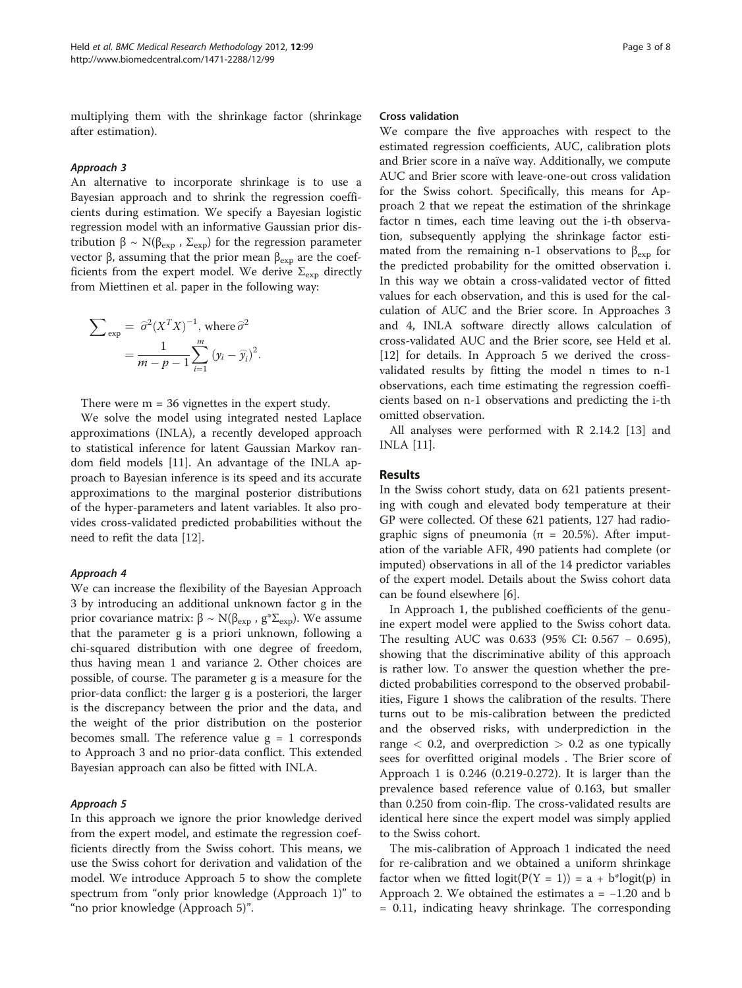multiplying them with the shrinkage factor (shrinkage after estimation).

#### Approach 3

An alternative to incorporate shrinkage is to use a Bayesian approach and to shrink the regression coefficients during estimation. We specify a Bayesian logistic regression model with an informative Gaussian prior distribution β ~ N( $\beta_{exp}$ ,  $\Sigma_{exp}$ ) for the regression parameter vector β, assuming that the prior mean  $β_{exp}$  are the coefficients from the expert model. We derive  $\Sigma_{\text{exp}}$  directly from Miettinen et al. paper in the following way:

$$
\sum_{\text{exp}} = \widehat{\sigma}^2 (X^T X)^{-1}, \text{ where } \widehat{\sigma}^2
$$

$$
= \frac{1}{m - p - 1} \sum_{i=1}^m (y_i - \widehat{y}_i)^2.
$$

There were m = 36 vignettes in the expert study.

We solve the model using integrated nested Laplace approximations (INLA), a recently developed approach to statistical inference for latent Gaussian Markov random field models [\[11](#page-7-0)]. An advantage of the INLA approach to Bayesian inference is its speed and its accurate approximations to the marginal posterior distributions of the hyper-parameters and latent variables. It also provides cross-validated predicted probabilities without the need to refit the data [[12\]](#page-7-0).

#### Approach 4

We can increase the flexibility of the Bayesian Approach 3 by introducing an additional unknown factor g in the prior covariance matrix:  $\beta \sim N(\beta_{exp}, g^* \Sigma_{exp})$ . We assume that the parameter g is a priori unknown, following a chi-squared distribution with one degree of freedom, thus having mean 1 and variance 2. Other choices are possible, of course. The parameter g is a measure for the prior-data conflict: the larger g is a posteriori, the larger is the discrepancy between the prior and the data, and the weight of the prior distribution on the posterior becomes small. The reference value  $g = 1$  corresponds to Approach 3 and no prior-data conflict. This extended Bayesian approach can also be fitted with INLA.

#### Approach 5

In this approach we ignore the prior knowledge derived from the expert model, and estimate the regression coefficients directly from the Swiss cohort. This means, we use the Swiss cohort for derivation and validation of the model. We introduce Approach 5 to show the complete spectrum from "only prior knowledge (Approach 1)" to "no prior knowledge (Approach 5)".

#### Cross validation

We compare the five approaches with respect to the estimated regression coefficients, AUC, calibration plots and Brier score in a naïve way. Additionally, we compute AUC and Brier score with leave-one-out cross validation for the Swiss cohort. Specifically, this means for Approach 2 that we repeat the estimation of the shrinkage factor n times, each time leaving out the i-th observation, subsequently applying the shrinkage factor estimated from the remaining n-1 observations to  $\beta_{exp}$  for the predicted probability for the omitted observation i. In this way we obtain a cross-validated vector of fitted values for each observation, and this is used for the calculation of AUC and the Brier score. In Approaches 3 and 4, INLA software directly allows calculation of cross-validated AUC and the Brier score, see Held et al. [[12\]](#page-7-0) for details. In Approach 5 we derived the crossvalidated results by fitting the model n times to n-1 observations, each time estimating the regression coefficients based on n-1 observations and predicting the i-th omitted observation.

All analyses were performed with R 2.14.2 [[13](#page-7-0)] and INLA [\[11](#page-7-0)].

#### Results

In the Swiss cohort study, data on 621 patients presenting with cough and elevated body temperature at their GP were collected. Of these 621 patients, 127 had radiographic signs of pneumonia ( $\pi = 20.5\%$ ). After imputation of the variable AFR, 490 patients had complete (or imputed) observations in all of the 14 predictor variables of the expert model. Details about the Swiss cohort data can be found elsewhere [\[6](#page-7-0)].

In Approach 1, the published coefficients of the genuine expert model were applied to the Swiss cohort data. The resulting AUC was 0.633 (95% CI: 0.567 − 0.695), showing that the discriminative ability of this approach is rather low. To answer the question whether the predicted probabilities correspond to the observed probabilities, Figure [1](#page-3-0) shows the calibration of the results. There turns out to be mis-calibration between the predicted and the observed risks, with underprediction in the range  $< 0.2$ , and overprediction  $> 0.2$  as one typically sees for overfitted original models . The Brier score of Approach 1 is 0.246 (0.219-0.272). It is larger than the prevalence based reference value of 0.163, but smaller than 0.250 from coin-flip. The cross-validated results are identical here since the expert model was simply applied to the Swiss cohort.

The mis-calibration of Approach 1 indicated the need for re-calibration and we obtained a uniform shrinkage factor when we fitted  $logit(P(Y = 1)) = a + b*logit(p)$  in Approach 2. We obtained the estimates  $a = -1.20$  and b = 0.11, indicating heavy shrinkage. The corresponding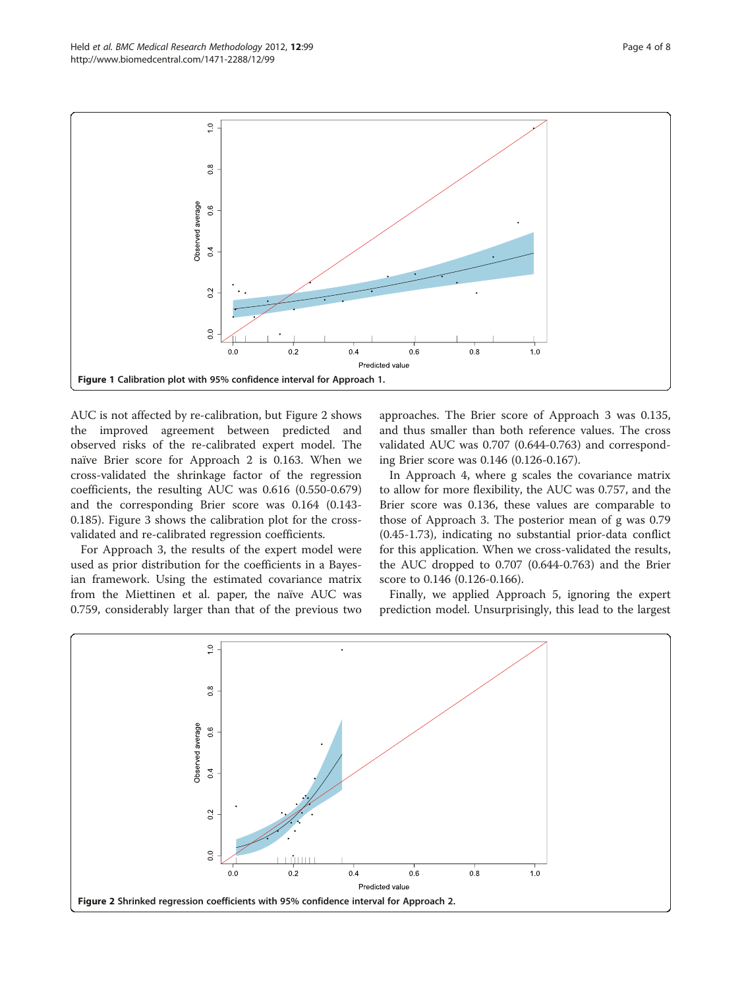<span id="page-3-0"></span>

AUC is not affected by re-calibration, but Figure 2 shows the improved agreement between predicted and observed risks of the re-calibrated expert model. The naïve Brier score for Approach 2 is 0.163. When we cross-validated the shrinkage factor of the regression coefficients, the resulting AUC was 0.616 (0.550-0.679) and the corresponding Brier score was 0.164 (0.143- 0.185). Figure [3](#page-4-0) shows the calibration plot for the crossvalidated and re-calibrated regression coefficients.

For Approach 3, the results of the expert model were used as prior distribution for the coefficients in a Bayesian framework. Using the estimated covariance matrix from the Miettinen et al. paper, the naïve AUC was 0.759, considerably larger than that of the previous two approaches. The Brier score of Approach 3 was 0.135, and thus smaller than both reference values. The cross validated AUC was 0.707 (0.644-0.763) and corresponding Brier score was 0.146 (0.126-0.167).

In Approach 4, where g scales the covariance matrix to allow for more flexibility, the AUC was 0.757, and the Brier score was 0.136, these values are comparable to those of Approach 3. The posterior mean of g was 0.79 (0.45-1.73), indicating no substantial prior-data conflict for this application. When we cross-validated the results, the AUC dropped to 0.707 (0.644-0.763) and the Brier score to 0.146 (0.126-0.166).

Finally, we applied Approach 5, ignoring the expert prediction model. Unsurprisingly, this lead to the largest

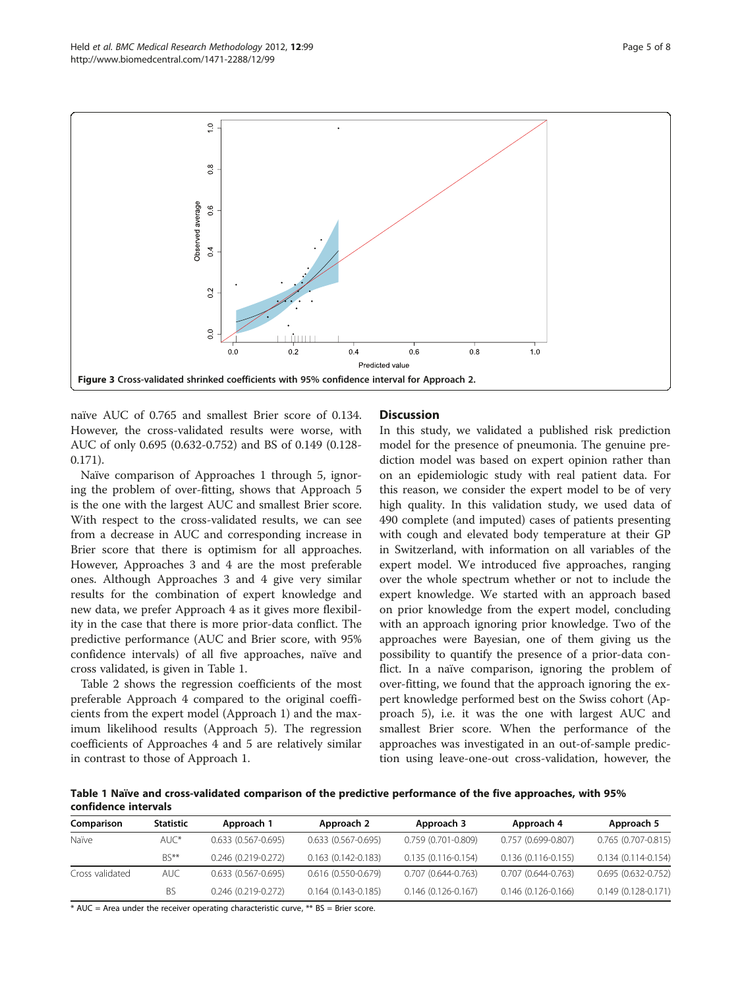<span id="page-4-0"></span>

naïve AUC of 0.765 and smallest Brier score of 0.134. However, the cross-validated results were worse, with AUC of only 0.695 (0.632-0.752) and BS of 0.149 (0.128- 0.171).

Naïve comparison of Approaches 1 through 5, ignoring the problem of over-fitting, shows that Approach 5 is the one with the largest AUC and smallest Brier score. With respect to the cross-validated results, we can see from a decrease in AUC and corresponding increase in Brier score that there is optimism for all approaches. However, Approaches 3 and 4 are the most preferable ones. Although Approaches 3 and 4 give very similar results for the combination of expert knowledge and new data, we prefer Approach 4 as it gives more flexibility in the case that there is more prior-data conflict. The predictive performance (AUC and Brier score, with 95% confidence intervals) of all five approaches, naïve and cross validated, is given in Table 1.

Table [2](#page-5-0) shows the regression coefficients of the most preferable Approach 4 compared to the original coefficients from the expert model (Approach 1) and the maximum likelihood results (Approach 5). The regression coefficients of Approaches 4 and 5 are relatively similar in contrast to those of Approach 1.

# **Discussion**

In this study, we validated a published risk prediction model for the presence of pneumonia. The genuine prediction model was based on expert opinion rather than on an epidemiologic study with real patient data. For this reason, we consider the expert model to be of very high quality. In this validation study, we used data of 490 complete (and imputed) cases of patients presenting with cough and elevated body temperature at their GP in Switzerland, with information on all variables of the expert model. We introduced five approaches, ranging over the whole spectrum whether or not to include the expert knowledge. We started with an approach based on prior knowledge from the expert model, concluding with an approach ignoring prior knowledge. Two of the approaches were Bayesian, one of them giving us the possibility to quantify the presence of a prior-data conflict. In a naïve comparison, ignoring the problem of over-fitting, we found that the approach ignoring the expert knowledge performed best on the Swiss cohort (Approach 5), i.e. it was the one with largest AUC and smallest Brier score. When the performance of the approaches was investigated in an out-of-sample prediction using leave-one-out cross-validation, however, the

Table 1 Naïve and cross-validated comparison of the predictive performance of the five approaches, with 95% confidence intervals

| Comparison      | <b>Statistic</b> | Approach 1             | Approach 2             | Approach 3             | Approach 4             | Approach 5             |
|-----------------|------------------|------------------------|------------------------|------------------------|------------------------|------------------------|
| Naïve           | AUC <sup>*</sup> | $0.633(0.567 - 0.695)$ | $0.633(0.567 - 0.695)$ | 0.759 (0.701-0.809)    | 0.757 (0.699-0.807)    | 0.765 (0.707-0.815)    |
|                 | $BS**$           | $0.246(0.219 - 0.272)$ | $0.163(0.142 - 0.183)$ | $0.135(0.116 - 0.154)$ | $0.136(0.116-0.155)$   | $0.134(0.114-0.154)$   |
| Cross validated | <b>AUC</b>       | $0.633(0.567 - 0.695)$ | $0.616(0.550 - 0.679)$ | $0.707(0.644 - 0.763)$ | 0.707 (0.644-0.763)    | 0.695 (0.632-0.752)    |
|                 | <b>BS</b>        | $0.246(0.219 - 0.272)$ | $0.164(0.143 - 0.185)$ | $0.146(0.126 - 0.167)$ | $0.146(0.126 - 0.166)$ | $0.149(0.128 - 0.171)$ |

 $*$  AUC = Area under the receiver operating characteristic curve,  $**$  BS = Brier score.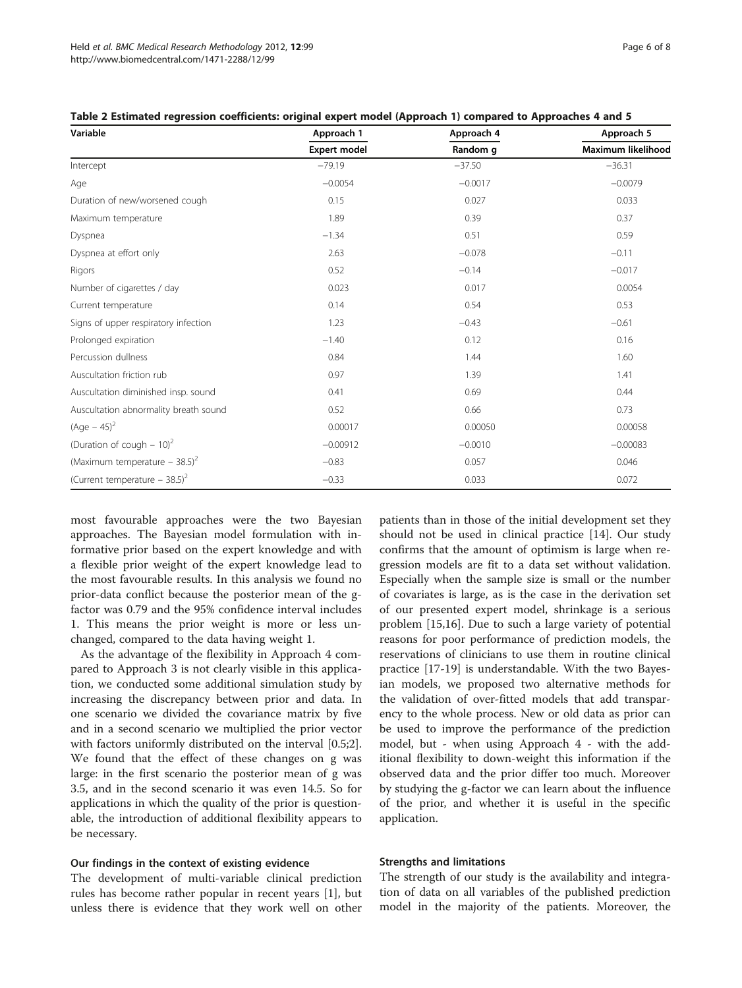| Variable                                     | Approach 1          | Approach 4 | Approach 5         |  |
|----------------------------------------------|---------------------|------------|--------------------|--|
|                                              | <b>Expert model</b> | Random g   | Maximum likelihood |  |
| Intercept                                    | $-79.19$            | $-37.50$   | $-36.31$           |  |
| Age                                          | $-0.0054$           | $-0.0017$  | $-0.0079$          |  |
| Duration of new/worsened cough               | 0.15                | 0.027      | 0.033              |  |
| Maximum temperature                          | 1.89                | 0.39       | 0.37               |  |
| Dyspnea                                      | $-1.34$             | 0.51       | 0.59               |  |
| Dyspnea at effort only                       | 2.63                | $-0.078$   | $-0.11$            |  |
| Rigors                                       | 0.52                | $-0.14$    | $-0.017$           |  |
| Number of cigarettes / day                   | 0.023               | 0.017      | 0.0054             |  |
| Current temperature                          | 0.14                | 0.54       | 0.53               |  |
| Signs of upper respiratory infection         | 1.23                | $-0.43$    | $-0.61$            |  |
| Prolonged expiration                         | $-1.40$             | 0.12       | 0.16               |  |
| Percussion dullness                          | 0.84                | 1.44       | 1.60               |  |
| Auscultation friction rub                    | 0.97                | 1.39       | 1.41               |  |
| Auscultation diminished insp. sound          | 0.41                | 0.69       | 0.44               |  |
| Auscultation abnormality breath sound        | 0.52                | 0.66       | 0.73               |  |
| $(Age - 45)^2$                               | 0.00017             | 0.00050    | 0.00058            |  |
| (Duration of cough $-10$ ) <sup>2</sup>      | $-0.00912$          | $-0.0010$  | $-0.00083$         |  |
| (Maximum temperature $-38.5$ ) <sup>2</sup>  | $-0.83$             | 0.057      | 0.046              |  |
| (Current temperature - $38.5$ ) <sup>2</sup> | $-0.33$             | 0.033      | 0.072              |  |

<span id="page-5-0"></span>

| Table 2 Estimated regression coefficients: original expert model (Approach 1) compared to Approaches 4 and 5 |  |  |  |  |
|--------------------------------------------------------------------------------------------------------------|--|--|--|--|
|--------------------------------------------------------------------------------------------------------------|--|--|--|--|

most favourable approaches were the two Bayesian approaches. The Bayesian model formulation with informative prior based on the expert knowledge and with a flexible prior weight of the expert knowledge lead to the most favourable results. In this analysis we found no prior-data conflict because the posterior mean of the gfactor was 0.79 and the 95% confidence interval includes 1. This means the prior weight is more or less unchanged, compared to the data having weight 1.

As the advantage of the flexibility in Approach 4 compared to Approach 3 is not clearly visible in this application, we conducted some additional simulation study by increasing the discrepancy between prior and data. In one scenario we divided the covariance matrix by five and in a second scenario we multiplied the prior vector with factors uniformly distributed on the interval [0.5;2]. We found that the effect of these changes on g was large: in the first scenario the posterior mean of g was 3.5, and in the second scenario it was even 14.5. So for applications in which the quality of the prior is questionable, the introduction of additional flexibility appears to be necessary.

#### Our findings in the context of existing evidence

The development of multi-variable clinical prediction rules has become rather popular in recent years [\[1](#page-7-0)], but unless there is evidence that they work well on other

patients than in those of the initial development set they should not be used in clinical practice [\[14](#page-7-0)]. Our study confirms that the amount of optimism is large when regression models are fit to a data set without validation. Especially when the sample size is small or the number of covariates is large, as is the case in the derivation set of our presented expert model, shrinkage is a serious problem [\[15,16](#page-7-0)]. Due to such a large variety of potential reasons for poor performance of prediction models, the reservations of clinicians to use them in routine clinical practice [[17-19\]](#page-7-0) is understandable. With the two Bayesian models, we proposed two alternative methods for the validation of over-fitted models that add transparency to the whole process. New or old data as prior can be used to improve the performance of the prediction model, but - when using Approach 4 - with the additional flexibility to down-weight this information if the observed data and the prior differ too much. Moreover by studying the g-factor we can learn about the influence of the prior, and whether it is useful in the specific application.

#### Strengths and limitations

The strength of our study is the availability and integration of data on all variables of the published prediction model in the majority of the patients. Moreover, the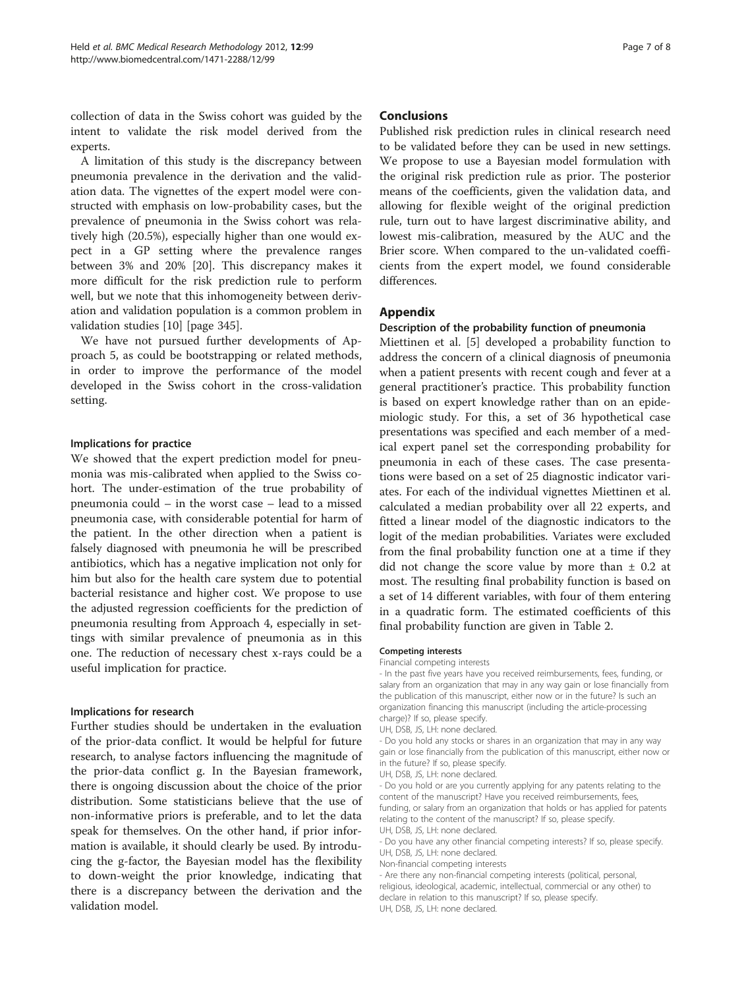collection of data in the Swiss cohort was guided by the intent to validate the risk model derived from the experts.

A limitation of this study is the discrepancy between pneumonia prevalence in the derivation and the validation data. The vignettes of the expert model were constructed with emphasis on low-probability cases, but the prevalence of pneumonia in the Swiss cohort was relatively high (20.5%), especially higher than one would expect in a GP setting where the prevalence ranges between 3% and 20% [[20](#page-7-0)]. This discrepancy makes it more difficult for the risk prediction rule to perform well, but we note that this inhomogeneity between derivation and validation population is a common problem in validation studies [[10\]](#page-7-0) [page 345].

We have not pursued further developments of Approach 5, as could be bootstrapping or related methods, in order to improve the performance of the model developed in the Swiss cohort in the cross-validation setting.

#### Implications for practice

We showed that the expert prediction model for pneumonia was mis-calibrated when applied to the Swiss cohort. The under-estimation of the true probability of pneumonia could – in the worst case – lead to a missed pneumonia case, with considerable potential for harm of the patient. In the other direction when a patient is falsely diagnosed with pneumonia he will be prescribed antibiotics, which has a negative implication not only for him but also for the health care system due to potential bacterial resistance and higher cost. We propose to use the adjusted regression coefficients for the prediction of pneumonia resulting from Approach 4, especially in settings with similar prevalence of pneumonia as in this one. The reduction of necessary chest x-rays could be a useful implication for practice.

#### Implications for research

Further studies should be undertaken in the evaluation of the prior-data conflict. It would be helpful for future research, to analyse factors influencing the magnitude of the prior-data conflict g. In the Bayesian framework, there is ongoing discussion about the choice of the prior distribution. Some statisticians believe that the use of non-informative priors is preferable, and to let the data speak for themselves. On the other hand, if prior information is available, it should clearly be used. By introducing the g-factor, the Bayesian model has the flexibility to down-weight the prior knowledge, indicating that there is a discrepancy between the derivation and the validation model.

#### Conclusions

Published risk prediction rules in clinical research need to be validated before they can be used in new settings. We propose to use a Bayesian model formulation with the original risk prediction rule as prior. The posterior means of the coefficients, given the validation data, and allowing for flexible weight of the original prediction rule, turn out to have largest discriminative ability, and lowest mis-calibration, measured by the AUC and the Brier score. When compared to the un-validated coefficients from the expert model, we found considerable differences.

## Appendix

#### Description of the probability function of pneumonia

Miettinen et al. [\[5](#page-7-0)] developed a probability function to address the concern of a clinical diagnosis of pneumonia when a patient presents with recent cough and fever at a general practitioner's practice. This probability function is based on expert knowledge rather than on an epidemiologic study. For this, a set of 36 hypothetical case presentations was specified and each member of a medical expert panel set the corresponding probability for pneumonia in each of these cases. The case presentations were based on a set of 25 diagnostic indicator variates. For each of the individual vignettes Miettinen et al. calculated a median probability over all 22 experts, and fitted a linear model of the diagnostic indicators to the logit of the median probabilities. Variates were excluded from the final probability function one at a time if they did not change the score value by more than  $\pm$  0.2 at most. The resulting final probability function is based on a set of 14 different variables, with four of them entering in a quadratic form. The estimated coefficients of this final probability function are given in Table [2](#page-5-0).

#### Competing interests

Financial competing interests

- In the past five years have you received reimbursements, fees, funding, or salary from an organization that may in any way gain or lose financially from the publication of this manuscript, either now or in the future? Is such an organization financing this manuscript (including the article-processing charge)? If so, please specify.

- Do you hold any stocks or shares in an organization that may in any way gain or lose financially from the publication of this manuscript, either now or in the future? If so, please specify.

UH, DSB, JS, LH: none declared.

- Do you hold or are you currently applying for any patents relating to the content of the manuscript? Have you received reimbursements, fees, funding, or salary from an organization that holds or has applied for patents relating to the content of the manuscript? If so, please specify. UH, DSB, JS, LH: none declared.

- Do you have any other financial competing interests? If so, please specify. UH, DSB, JS, LH: none declared.

Non-financial competing interests

- Are there any non-financial competing interests (political, personal, religious, ideological, academic, intellectual, commercial or any other) to declare in relation to this manuscript? If so, please specify. UH, DSB, JS, LH: none declared.

UH, DSB, JS, LH: none declared.